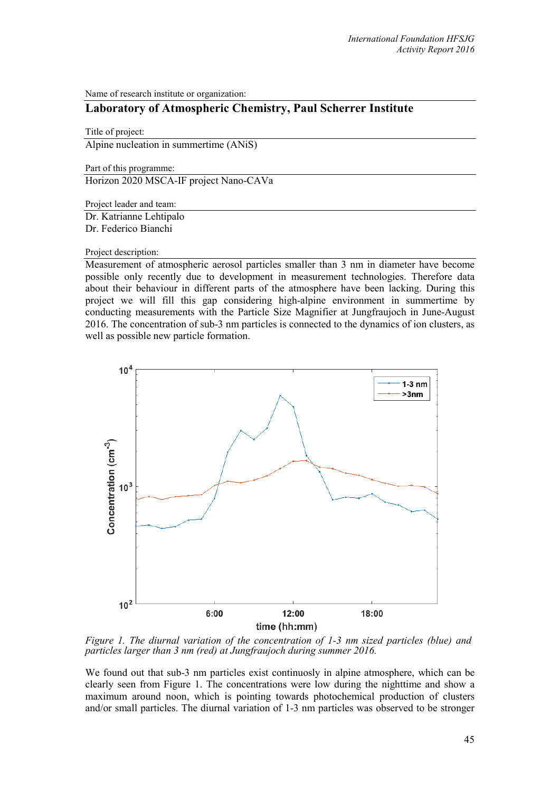Name of research institute or organization:

## **Laboratory of Atmospheric Chemistry, Paul Scherrer Institute**

Title of project: Alpine nucleation in summertime (ANiS)

Part of this programme:

Horizon 2020 MSCA-IF project Nano-CAVa

Project leader and team:

Dr. Katrianne Lehtipalo Dr. Federico Bianchi

## Project description:

Measurement of atmospheric aerosol particles smaller than 3 nm in diameter have become possible only recently due to development in measurement technologies. Therefore data about their behaviour in different parts of the atmosphere have been lacking. During this project we will fill this gap considering high-alpine environment in summertime by conducting measurements with the Particle Size Magnifier at Jungfraujoch in June-August 2016. The concentration of sub-3 nm particles is connected to the dynamics of ion clusters, as well as possible new particle formation.



*Figure 1. The diurnal variation of the concentration of 1-3 nm sized particles (blue) and particles larger than 3 nm (red) at Jungfraujoch during summer 2016.*

We found out that sub-3 nm particles exist continuosly in alpine atmosphere, which can be clearly seen from Figure 1. The concentrations were low during the nighttime and show a maximum around noon, which is pointing towards photochemical production of clusters and/or small particles. The diurnal variation of 1-3 nm particles was observed to be stronger